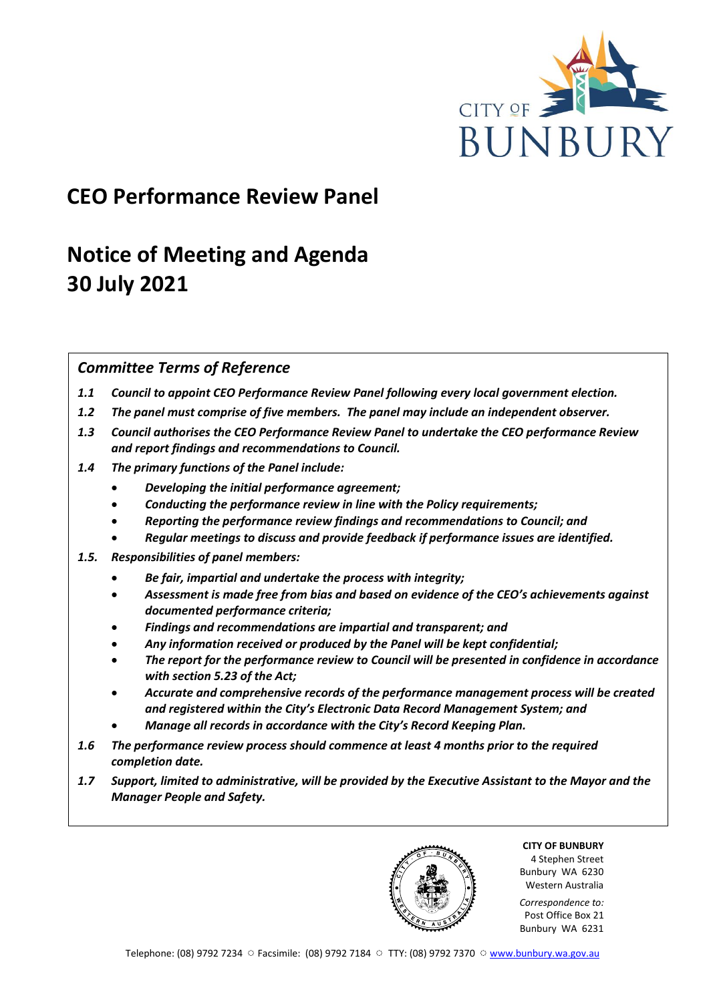

# **CEO Performance Review Panel**

# **Notice of Meeting and Agenda 30 July 2021**

## *Committee Terms of Reference*

- *1.1 Council to appoint CEO Performance Review Panel following every local government election.*
- *1.2 The panel must comprise of five members. The panel may include an independent observer.*
- *1.3 Council authorises the CEO Performance Review Panel to undertake the CEO performance Review and report findings and recommendations to Council.*
- *1.4 The primary functions of the Panel include:*
	- *Developing the initial performance agreement;*
	- *Conducting the performance review in line with the Policy requirements;*
	- *Reporting the performance review findings and recommendations to Council; and*
	- *Regular meetings to discuss and provide feedback if performance issues are identified.*
- *1.5. Responsibilities of panel members:*
	- *Be fair, impartial and undertake the process with integrity;*
	- *Assessment is made free from bias and based on evidence of the CEO's achievements against documented performance criteria;*
	- *Findings and recommendations are impartial and transparent; and*
	- *Any information received or produced by the Panel will be kept confidential;*
	- *The report for the performance review to Council will be presented in confidence in accordance with section 5.23 of the Act;*
	- *Accurate and comprehensive records of the performance management process will be created and registered within the City's Electronic Data Record Management System; and*
	- *Manage all records in accordance with the City's Record Keeping Plan.*
- *1.6 The performance review process should commence at least 4 months prior to the required completion date.*
- *1.7 Support, limited to administrative, will be provided by the Executive Assistant to the Mayor and the Manager People and Safety.*

**CITY OF BUNBURY** 4 Stephen Street Bunbury WA 6230 Western Australia

*Correspondence to:* Post Office Box 21 Bunbury WA 6231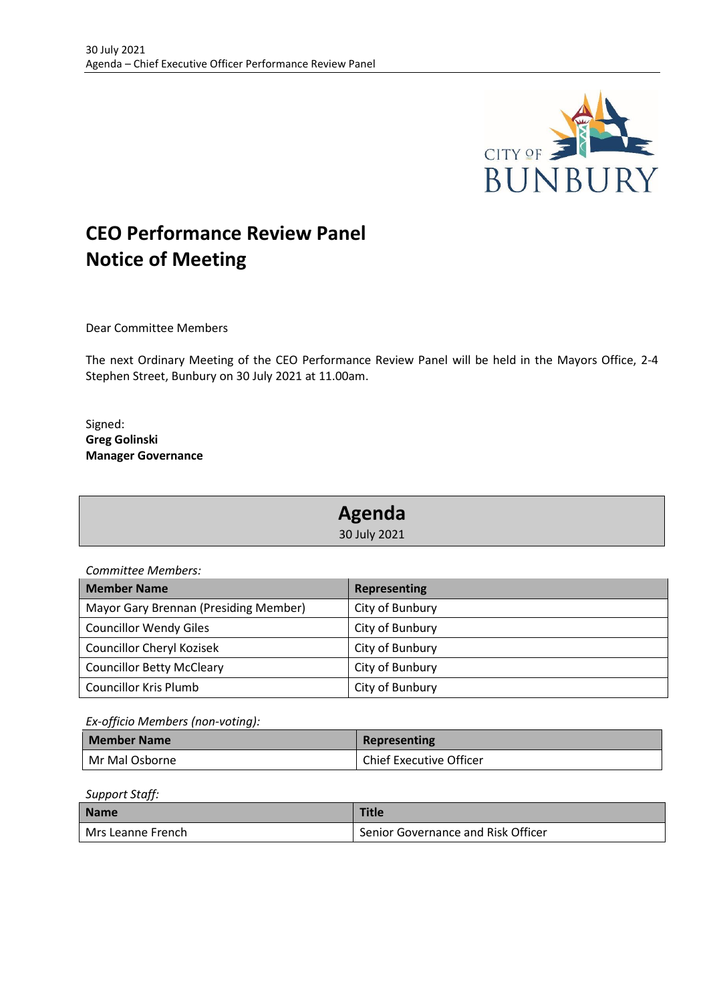

# **CEO Performance Review Panel Notice of Meeting**

Dear Committee Members

The next Ordinary Meeting of the CEO Performance Review Panel will be held in the Mayors Office, 2-4 Stephen Street, Bunbury on 30 July 2021 at 11.00am.

Signed: **Greg Golinski Manager Governance**

| Agenda       |  |
|--------------|--|
| 30 July 2021 |  |

*Committee Members:*

| <b>Member Name</b>                    | Representing    |
|---------------------------------------|-----------------|
| Mayor Gary Brennan (Presiding Member) | City of Bunbury |
| <b>Councillor Wendy Giles</b>         | City of Bunbury |
| <b>Councillor Cheryl Kozisek</b>      | City of Bunbury |
| <b>Councillor Betty McCleary</b>      | City of Bunbury |
| <b>Councillor Kris Plumb</b>          | City of Bunbury |

*Ex-officio Members (non-voting):*

| <b>Member Name</b> | Representing                   |
|--------------------|--------------------------------|
| Mr Mal Osborne     | <b>Chief Executive Officer</b> |

*Support Staff:*

| <b>Name</b>         | <b>Title</b>                       |
|---------------------|------------------------------------|
| l Mrs Leanne French | Senior Governance and Risk Officer |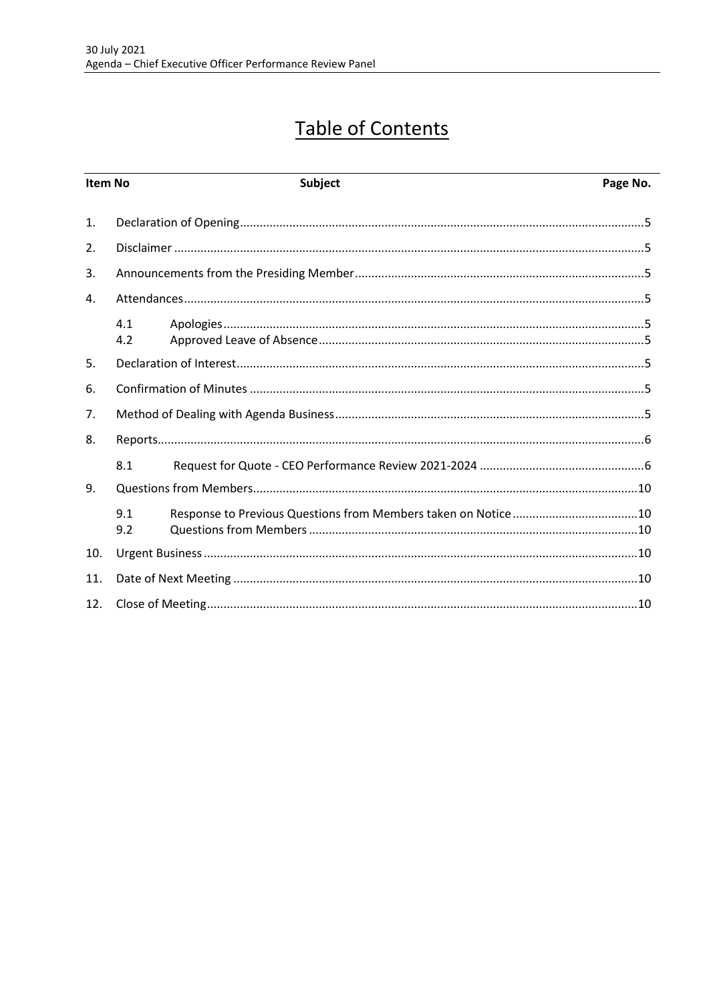# **Table of Contents**

| Item No        |            | <b>Subject</b> | Page No. |
|----------------|------------|----------------|----------|
| $\mathbf{1}$ . |            |                |          |
| 2.             |            |                |          |
| 3.             |            |                |          |
| 4.             |            |                |          |
|                | 4.1<br>4.2 |                |          |
| 5.             |            |                |          |
| 6.             |            |                |          |
| 7.             |            |                |          |
| 8.             |            |                |          |
|                | 8.1        |                |          |
| 9.             |            |                |          |
|                | 9.1<br>9.2 |                |          |
| 10.            |            |                |          |
| 11.            |            |                |          |
| 12.            |            |                |          |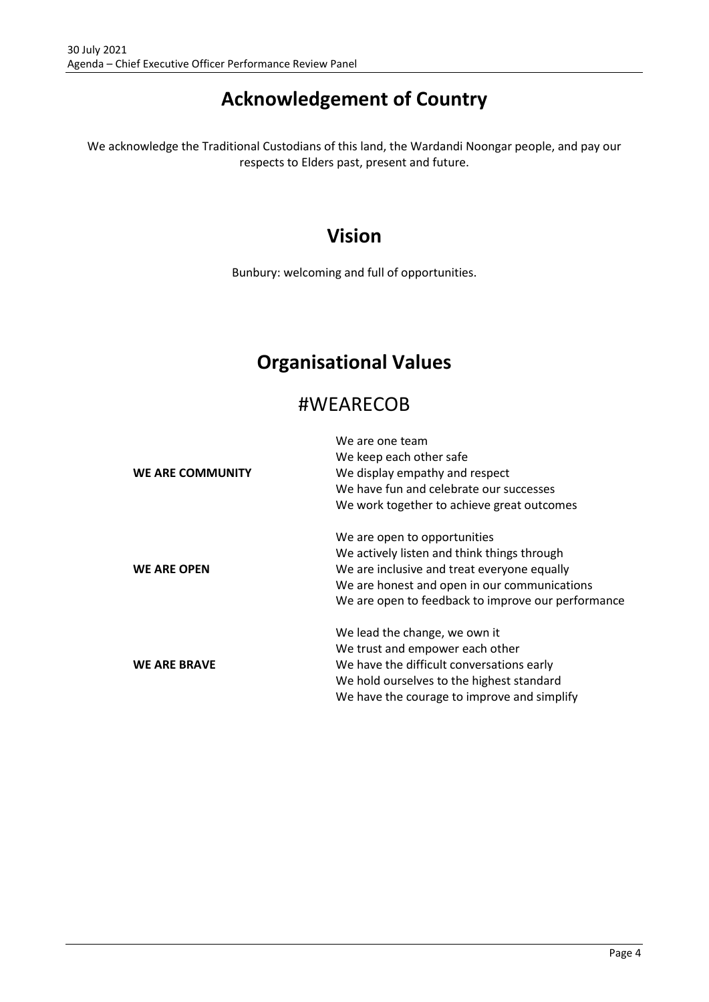# **Acknowledgement of Country**

We acknowledge the Traditional Custodians of this land, the Wardandi Noongar people, and pay our respects to Elders past, present and future.

# **Vision**

Bunbury: welcoming and full of opportunities.

# **Organisational Values**

# #WEARECOB

|                         | We are one team                                    |  |
|-------------------------|----------------------------------------------------|--|
|                         | We keep each other safe                            |  |
| <b>WE ARE COMMUNITY</b> | We display empathy and respect                     |  |
|                         | We have fun and celebrate our successes            |  |
|                         | We work together to achieve great outcomes         |  |
|                         | We are open to opportunities                       |  |
|                         | We actively listen and think things through        |  |
| <b>WE ARE OPEN</b>      | We are inclusive and treat everyone equally        |  |
|                         | We are honest and open in our communications       |  |
|                         | We are open to feedback to improve our performance |  |
|                         | We lead the change, we own it                      |  |
|                         | We trust and empower each other                    |  |
| <b>WE ARE BRAVE</b>     | We have the difficult conversations early          |  |
|                         | We hold ourselves to the highest standard          |  |
|                         | We have the courage to improve and simplify        |  |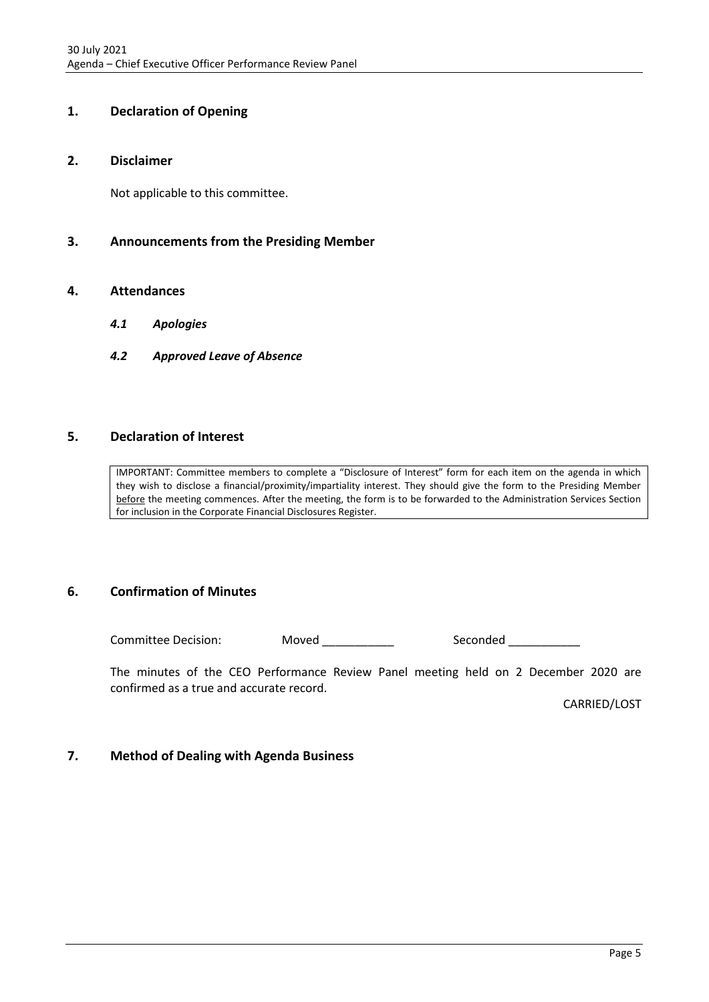### <span id="page-4-0"></span>**1. Declaration of Opening**

#### <span id="page-4-1"></span>**2. Disclaimer**

Not applicable to this committee.

### <span id="page-4-2"></span>**3. Announcements from the Presiding Member**

#### <span id="page-4-4"></span><span id="page-4-3"></span>**4. Attendances**

- *4.1 Apologies*
- <span id="page-4-5"></span>*4.2 Approved Leave of Absence*

### <span id="page-4-6"></span>**5. Declaration of Interest**

IMPORTANT: Committee members to complete a "Disclosure of Interest" form for each item on the agenda in which they wish to disclose a financial/proximity/impartiality interest. They should give the form to the Presiding Member before the meeting commences. After the meeting, the form is to be forwarded to the Administration Services Section for inclusion in the Corporate Financial Disclosures Register.

### <span id="page-4-7"></span>**6. Confirmation of Minutes**

Committee Decision: Moved \_\_\_\_\_\_\_\_\_\_ Seconded \_\_\_\_\_\_\_\_

The minutes of the CEO Performance Review Panel meeting held on 2 December 2020 are confirmed as a true and accurate record.

CARRIED/LOST

### <span id="page-4-8"></span>**7. Method of Dealing with Agenda Business**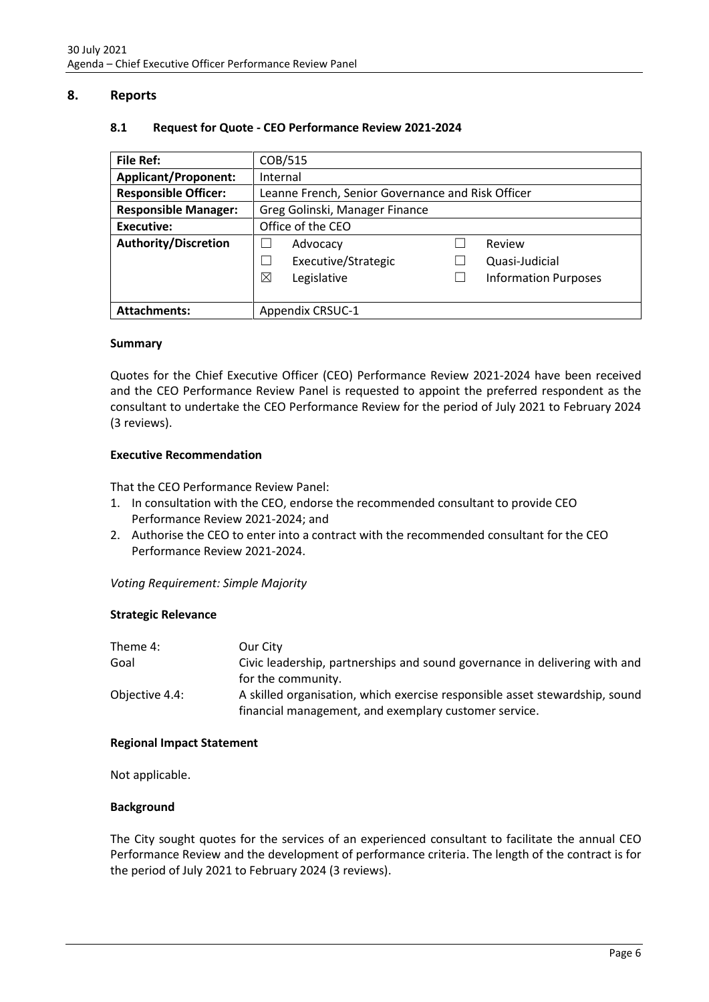### <span id="page-5-1"></span><span id="page-5-0"></span>**8. Reports**

| <b>File Ref:</b>            | COB/515                                           |  |                             |
|-----------------------------|---------------------------------------------------|--|-----------------------------|
| <b>Applicant/Proponent:</b> | Internal                                          |  |                             |
| <b>Responsible Officer:</b> | Leanne French, Senior Governance and Risk Officer |  |                             |
| <b>Responsible Manager:</b> | Greg Golinski, Manager Finance                    |  |                             |
| Executive:                  | Office of the CEO                                 |  |                             |
| <b>Authority/Discretion</b> | Advocacy                                          |  | Review                      |
|                             | Executive/Strategic                               |  | Quasi-Judicial              |
|                             | X<br>Legislative                                  |  | <b>Information Purposes</b> |
|                             |                                                   |  |                             |
| <b>Attachments:</b>         | <b>Appendix CRSUC-1</b>                           |  |                             |

#### **8.1 Request for Quote - CEO Performance Review 2021-2024**

#### **Summary**

Quotes for the Chief Executive Officer (CEO) Performance Review 2021-2024 have been received and the CEO Performance Review Panel is requested to appoint the preferred respondent as the consultant to undertake the CEO Performance Review for the period of July 2021 to February 2024 (3 reviews).

#### **Executive Recommendation**

That the CEO Performance Review Panel:

- 1. In consultation with the CEO, endorse the recommended consultant to provide CEO Performance Review 2021-2024; and
- 2. Authorise the CEO to enter into a contract with the recommended consultant for the CEO Performance Review 2021-2024.

*Voting Requirement: Simple Majority*

#### **Strategic Relevance**

| Theme 4:       | Our City                                                                    |
|----------------|-----------------------------------------------------------------------------|
| Goal           | Civic leadership, partnerships and sound governance in delivering with and  |
|                | for the community.                                                          |
| Objective 4.4: | A skilled organisation, which exercise responsible asset stewardship, sound |
|                | financial management, and exemplary customer service.                       |

#### **Regional Impact Statement**

Not applicable.

#### **Background**

The City sought quotes for the services of an experienced consultant to facilitate the annual CEO Performance Review and the development of performance criteria. The length of the contract is for the period of July 2021 to February 2024 (3 reviews).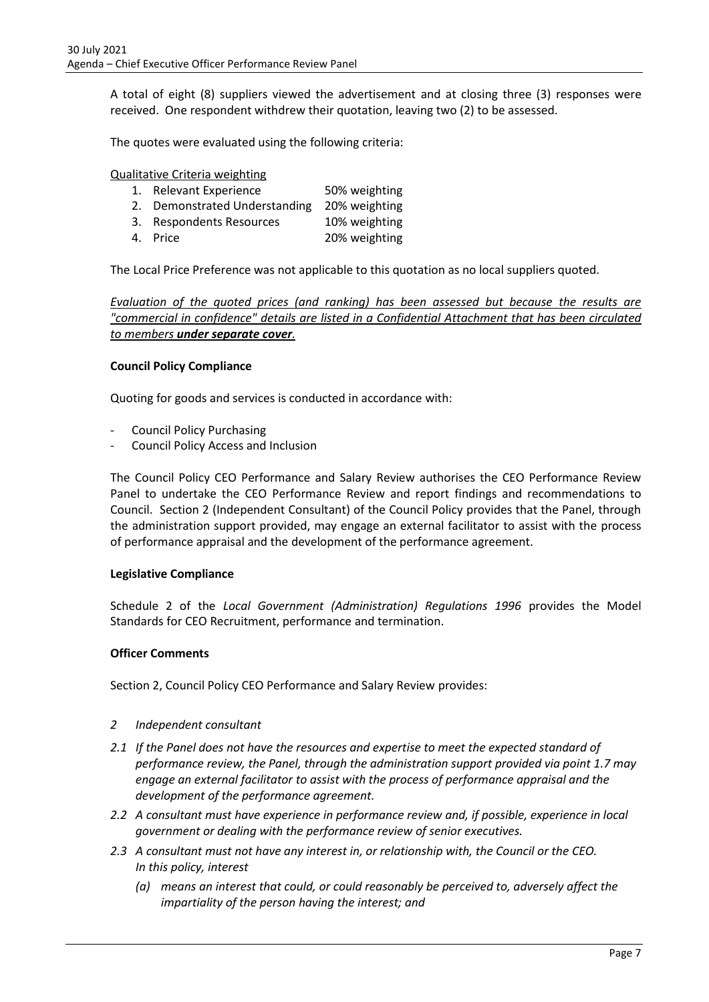A total of eight (8) suppliers viewed the advertisement and at closing three (3) responses were received. One respondent withdrew their quotation, leaving two (2) to be assessed.

The quotes were evaluated using the following criteria:

Qualitative Criteria weighting

- 1. Relevant Experience 50% weighting
- 2. Demonstrated Understanding 20% weighting 3. Respondents Resources 10% weighting
- 4. Price 20% weighting
	-

The Local Price Preference was not applicable to this quotation as no local suppliers quoted.

*Evaluation of the quoted prices (and ranking) has been assessed but because the results are "commercial in confidence" details are listed in a Confidential Attachment that has been circulated to members under separate cover.*

#### **Council Policy Compliance**

Quoting for goods and services is conducted in accordance with:

- Council Policy Purchasing
- Council Policy Access and Inclusion

The Council Policy CEO Performance and Salary Review authorises the CEO Performance Review Panel to undertake the CEO Performance Review and report findings and recommendations to Council. Section 2 (Independent Consultant) of the Council Policy provides that the Panel, through the administration support provided, may engage an external facilitator to assist with the process of performance appraisal and the development of the performance agreement.

#### **Legislative Compliance**

Schedule 2 of the *Local Government (Administration) Regulations 1996* provides the Model Standards for CEO Recruitment, performance and termination.

#### **Officer Comments**

Section 2, Council Policy CEO Performance and Salary Review provides:

- *2 Independent consultant*
- *2.1 If the Panel does not have the resources and expertise to meet the expected standard of performance review, the Panel, through the administration support provided via point 1.7 may engage an external facilitator to assist with the process of performance appraisal and the development of the performance agreement.*
- *2.2 A consultant must have experience in performance review and, if possible, experience in local government or dealing with the performance review of senior executives.*
- *2.3 A consultant must not have any interest in, or relationship with, the Council or the CEO. In this policy, interest* 
	- *(a) means an interest that could, or could reasonably be perceived to, adversely affect the impartiality of the person having the interest; and*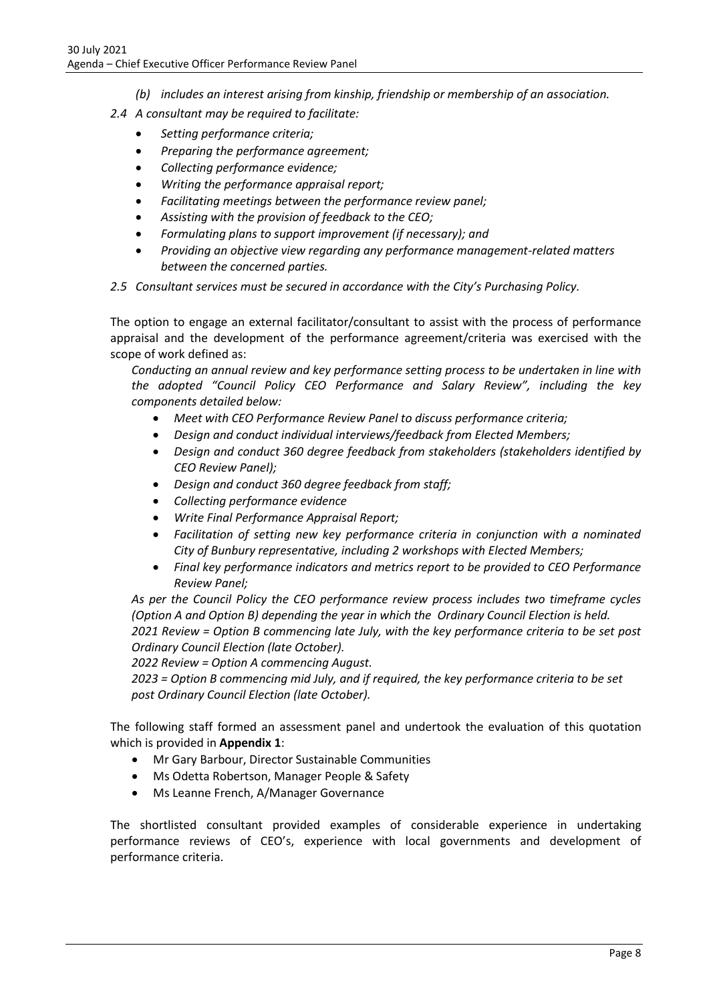- *(b) includes an interest arising from kinship, friendship or membership of an association.*
- *2.4 A consultant may be required to facilitate:*
	- *Setting performance criteria;*
	- *Preparing the performance agreement;*
	- *Collecting performance evidence;*
	- *Writing the performance appraisal report;*
	- *Facilitating meetings between the performance review panel;*
	- *Assisting with the provision of feedback to the CEO;*
	- *Formulating plans to support improvement (if necessary); and*
	- *Providing an objective view regarding any performance management-related matters between the concerned parties.*
- *2.5 Consultant services must be secured in accordance with the City's Purchasing Policy.*

The option to engage an external facilitator/consultant to assist with the process of performance appraisal and the development of the performance agreement/criteria was exercised with the scope of work defined as:

*Conducting an annual review and key performance setting process to be undertaken in line with the adopted "Council Policy CEO Performance and Salary Review", including the key components detailed below:*

- *Meet with CEO Performance Review Panel to discuss performance criteria;*
- *Design and conduct individual interviews/feedback from Elected Members;*
- *Design and conduct 360 degree feedback from stakeholders (stakeholders identified by CEO Review Panel);*
- *Design and conduct 360 degree feedback from staff;*
- *Collecting performance evidence*
- *Write Final Performance Appraisal Report;*
- *Facilitation of setting new key performance criteria in conjunction with a nominated City of Bunbury representative, including 2 workshops with Elected Members;*
- *Final key performance indicators and metrics report to be provided to CEO Performance Review Panel;*

*As per the Council Policy the CEO performance review process includes two timeframe cycles (Option A and Option B) depending the year in which the Ordinary Council Election is held. 2021 Review = Option B commencing late July, with the key performance criteria to be set post Ordinary Council Election (late October).*

*2022 Review = Option A commencing August.*

*2023 = Option B commencing mid July, and if required, the key performance criteria to be set post Ordinary Council Election (late October).*

The following staff formed an assessment panel and undertook the evaluation of this quotation which is provided in **Appendix 1**:

- Mr Gary Barbour, Director Sustainable Communities
- Ms Odetta Robertson, Manager People & Safety
- Ms Leanne French, A/Manager Governance

The shortlisted consultant provided examples of considerable experience in undertaking performance reviews of CEO's, experience with local governments and development of performance criteria.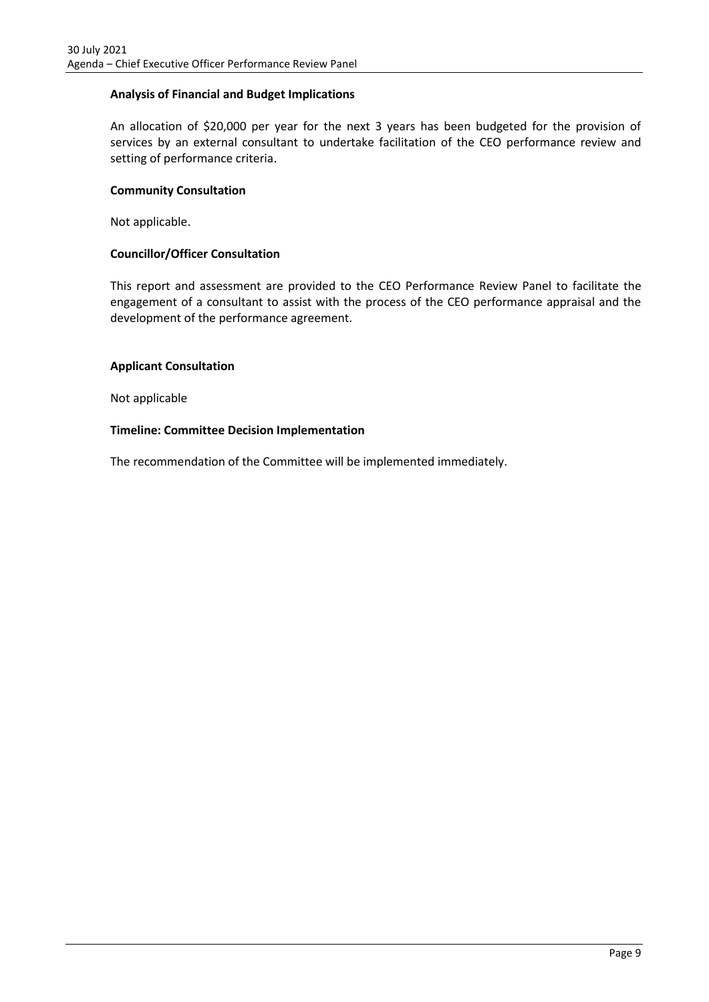#### **Analysis of Financial and Budget Implications**

An allocation of \$20,000 per year for the next 3 years has been budgeted for the provision of services by an external consultant to undertake facilitation of the CEO performance review and setting of performance criteria.

#### **Community Consultation**

Not applicable.

#### **Councillor/Officer Consultation**

This report and assessment are provided to the CEO Performance Review Panel to facilitate the engagement of a consultant to assist with the process of the CEO performance appraisal and the development of the performance agreement.

#### **Applicant Consultation**

Not applicable

#### **Timeline: Committee Decision Implementation**

The recommendation of the Committee will be implemented immediately.